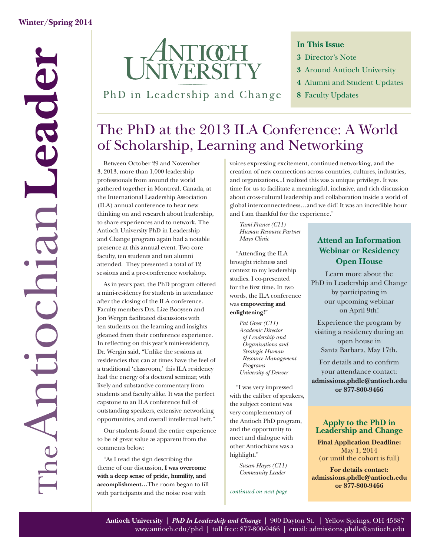

PhD in Leadership and Change

#### **In This Issue**

- **3** Director's Note
- **3** Around Antioch University
- **4** Alumni and Student Updates
- **8** Faculty Updates

### The PhD at the 2013 ILA Conference: A World of Scholarship, Learning and Networking

Between October 29 and November 3, 2013, more than 1,000 leadership professionals from around the world gathered together in Montreal, Canada, at the International Leadership Association (ILA) annual conference to hear new thinking on and research about leadership, to share experiences and to network. The Antioch University PhD in Leadership and Change program again had a notable presence at this annual event. Two core faculty, ten students and ten alumni attended. They presented a total of 12 sessions and a pre-conference workshop.

As in years past, the PhD program offered a mini-residency for students in attendance after the closing of the ILA conference. Faculty members Drs. Lize Booysen and Jon Wergin facilitated discussions with ten students on the learning and insights gleaned from their conference experience. In reflecting on this year's mini-residency, Dr. Wergin said, "Unlike the sessions at residencies that can at times have the feel of a traditional 'classroom,' this ILA residency had the energy of a doctoral seminar, with lively and substantive commentary from students and faculty alike. It was the perfect capstone to an ILA conference full of outstanding speakers, extensive networking opportunities, and overall intellectual heft."

Our students found the entire experience to be of great value as apparent from the comments below:

"As I read the sign describing the theme of our discussion, **I was overcome with a deep sense of pride, humility, and**  accomplishment...The room began to fill with participants and the noise rose with

voices expressing excitement, continued networking, and the creation of new connections across countries, cultures, industries, and organizations...I realized this was a unique privilege. It was time for us to facilitate a meaningful, inclusive, and rich discussion about cross-cultural leadership and collaboration inside a world of global interconnectedness…and we did! It was an incredible hour and I am thankful for the experience."

*Tami France (C11) Human Resource Partner Mayo Clinic* 

"Attending the ILA brought richness and context to my leadership studies. I co-presented for the first time. In two words, the ILA conference was **empowering and enlightening!**"

> *Pat Greer (C11) Academic Director of Leadership and Organizations and Strategic Human Resource Management Programs University of Denver*

"I was very impressed with the caliber of speakers, the subject content was very complementary of the Antioch PhD program, and the opportunity to meet and dialogue with other Antiochians was a highlight."

> *Susan Hayes (C11) Community Leader*

*continued on next page*

### **Attend an Information Webinar or Residency Open House**

Learn more about the PhD in Leadership and Change by participating in our upcoming webinar on April 9th!

Experience the program by visiting a residency during an open house in Santa Barbara, May 17th.

For details and to confirm your attendance contact: **admissions.phdlc@antioch.edu or 877-800-9466**

#### **Apply to the PhD in Leadership and Change**

**Final Application Deadline:** May 1, 2014 (or until the cohort is full)

**For details contact: admissions.phdlc@antioch.edu or 877-800-9466**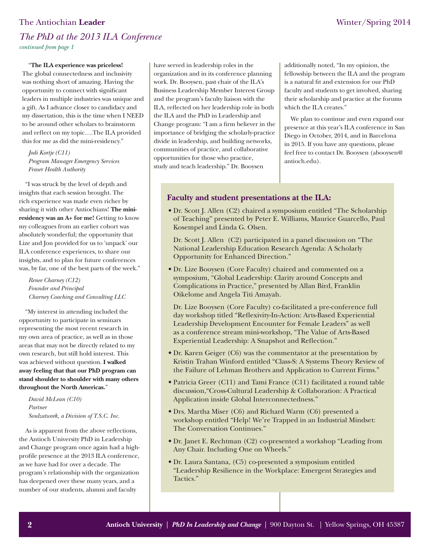#### The Antiochian **Leader** Winter/Spring 2014

### *The PhD at the 2013 ILA Conference continued from page 1*

"**The ILA experience was priceless!**

The global connectedness and inclusivity was nothing short of amazing. Having the opportunity to connect with significant leaders in multiple industries was unique and a gift. As I advance closer to candidacy and my dissertation, this is the time when I NEED to be around other scholars to brainstorm and reflect on my topic....The ILA provided this for me as did the mini-residency."

*Jodi Kortje (C11) Program Manager Emergency Services Fraser Health Authority*

"I was struck by the level of depth and insights that each session brought. The rich experience was made even richer by sharing it with other Antiochians! **The miniresidency was an A+ for me!** Getting to know my colleagues from an earlier cohort was absolutely wonderful; the opportunity that Lize and Jon provided for us to 'unpack' our ILA conference experiences, to share our insights, and to plan for future conferences was, by far, one of the best parts of the week."

*Renee Charney (C12) Founder and Principal Charney Coaching and Consulting LLC*

"My interest in attending included the opportunity to participate in seminars representing the most recent research in my own area of practice, as well as in those areas that may not be directly related to my own research, but still hold interest. This was achieved without question. **I walked away feeling that that our PhD program can stand shoulder to shoulder with many others throughout the North Americas.**"

*David McLean (C10) Partner Soulzatwork, a Division of T.S.C. Inc.*

As is apparent from the above reflections, the Antioch University PhD in Leadership and Change program once again had a highprofile presence at the 2013 ILA conference, as we have had for over a decade. The program's relationship with the organization has deepened over these many years, and a number of our students, alumni and faculty

have served in leadership roles in the organization and in its conference planning work. Dr. Booysen, past chair of the ILA's Business Leadership Member Interest Group and the program's faculty liaison with the ILA, reflected on her leadership role in both the ILA and the PhD in Leadership and Change program: "I am a firm believer in the importance of bridging the scholarly-practice divide in leadership, and building networks, communities of practice, and collaborative opportunities for those who practice, study and teach leadership." Dr. Booysen

additionally noted, "In my opinion, the fellowship between the ILA and the program is a natural fit and extension for our PhD faculty and students to get involved, sharing their scholarship and practice at the forums which the ILA creates."

We plan to continue and even expand our presence at this year's ILA conference in San Diego in October, 2014, and in Barcelona in 2015. If you have any questions, please feel free to contact Dr. Booysen (abooysen@ antioch.edu).

#### **Faculty and student presentations at the ILA:**

• Dr. Scott J. Allen (C2) chaired a symposium entitled "The Scholarship of Teaching" presented by Peter E. Williams, Maurice Guarcello, Paul Kosempel and Linda G. Olsen.

Dr. Scott J. Allen (C2) participated in a panel discussion on "The National Leadership Education Research Agenda: A Scholarly Opportunity for Enhanced Direction."

• Dr. Lize Booysen (Core Faculty) chaired and commented on a symposium, "Global Leadership: Clarity around Concepts and Complications in Practice," presented by Allan Bird, Franklin Oikelome and Angela Titi Amayah.

Dr. Lize Booysen (Core Faculty) co-facilitated a pre-conference full day workshop titled "Reflexivity-In-Action: Arts-Based Experiential Leadership Development Encounter for Female Leaders" as well as a conference stream mini-workshop, "The Value of Arts-Based Experiential Leadership: A Snapshot and Reflection."

- Dr. Karen Geiger (C6) was the commentator at the presentation by Kristin Trahan Winford entitled "Class-S: A Systems Theory Review of the Failure of Lehman Brothers and Application to Current Firms."
- Patricia Greer (C11) and Tami France (C11) facilitated a round table discussion,"Cross-Cultural Leadership & Collaboration: A Practical Application inside Global Interconnectedness."
- Drs. Martha Miser (C6) and Richard Warm (C6) presented a workshop entitled "Help! We're Trapped in an Industrial Mindset: The Conversation Continues."
- Dr. Janet E. Rechtman (C2) co-presented a workshop "Leading from Any Chair. Including One on Wheels."
- Dr. Laura Santana, (C5) co-presented a symposium entitled "Leadership Resilience in the Workplace: Emergent Strategies and Tactics."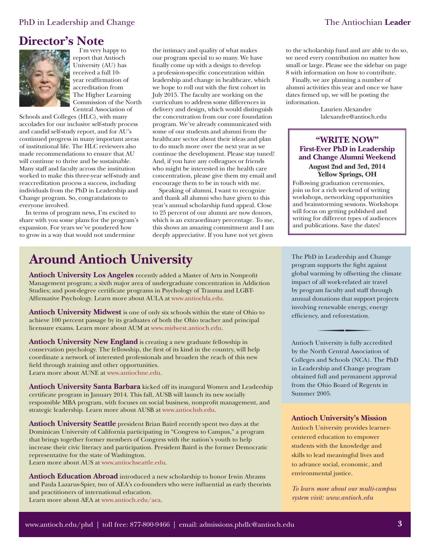### **Director's Note**



I'm very happy to report that Antioch University (AU) has received a full 10 year reaffirmation of accreditation from The Higher Learning Commission of the North Central Association of

Schools and Colleges (HLC), with many accolades for our inclusive self-study process and candid self-study report, and for AU's continued progress in many important areas of institutional life. The HLC reviewers also made recommendations to ensure that AU will continue to thrive and be sustainable. Many staff and faculty across the institution worked to make this three-year self-study and reaccreditation process a success, including individuals from the PhD in Leadership and Change program. So, congratulations to everyone involved.

In terms of program news, I'm excited to share with you some plans for the program's expansion. For years we've pondered how to grow in a way that would not undermine

the intimacy and quality of what makes our program special to so many. We have finally come up with a design to develop a profession-specific concentration within leadership and change in healthcare, which we hope to roll out with the first cohort in July 2015. The faculty are working on the curriculum to address some differences in delivery and design, which would distinguish the concentration from our core foundation program. We've already communicated with some of our students and alumni from the healthcare sector about their ideas and plan to do much more over the next year as we continue the development. Please stay tuned! And, if you have any colleagues or friends who might be interested in the health care concentration, please give them my email and encourage them to be in touch with me.

Speaking of alumni, I want to recognize and thank all alumni who have given to this year's annual scholarship fund appeal. Close to 25 percent of our alumni are now donors, which is an extraordinary percentage. To me, this shows an amazing commitment and I am deeply appreciative. If you have not yet given

### **Around Antioch University**

**Antioch University Los Angeles** recently added a Master of Arts in Nonprofit Management program; a sixth major area of undergraduate concentration in Addiction Studies; and post-degree certificate programs in Psychology of Trauma and LGBTAffirmative Psychology. Learn more about AULA [at www.antiochla.edu.](www.antiochla.edu)

**Antioch University Midwest** is one of only six schools within the state of Ohio to achieve 100 percent passage by its graduates of both the Ohio teacher and principal licensure exams. Learn more about AU[M at www.midwest.antioch.edu.](http://midwest.antioch.edu/)

**Antioch University New England** is creating a new graduate fellowship in conservation psychology. The fellowship, the first of its kind in the country, will help coordinate a network of interested professionals and broaden the reach of this new field through training and other opportunities. Learn more about AUNE [at www.antiochne.edu.](www.antiochne.edu)

**Antioch University Santa Barbara** kicked off its inaugural Women and Leadership certificate program in January 2014. This fall, AUSB will launch its new socially responsible MBA program, with focuses on social business, nonprofit management, and strategic leadership. Learn more about AUSB [at www.antiochsb.edu.](www.antiochsb.edu)

**Antioch University Seattle** president Brian Baird recently spent two days at the Dominican University of California participating in "Congress to Campus," a program that brings together former members of Congress with the nation's youth to help increase their civic literacy and participation. President Baird is the former Democratic representative for the state of Washington.

Learn more about AUS [at www.antiochseattle.edu.](www.antiochseattle.edu)

**Antioch Education Abroad** introduced a new scholarship to honor Irwin Abrams and Paula Lazarus-Spier, two of AEA's co-founders who were influential as early theorists and practitioners of international education. Learn more about AEA [at www.antioch.edu/aea.](www.antioch.edu/aea)

to the scholarship fund and are able to do so, we need every contribution no matter how small or large. Please see the sidebar on page 8 with information on how to contribute.

Finally, we are planning a number of alumni activities this year and once we have dates firmed up, we will be posting the information.

> Laurien Alexandre lalexandre@antioch.edu

#### **"WRITE NOW" First-Ever PhD in Leadership and Change Alumni Weekend**

**August 2nd and 3rd, 2014 Yellow Springs, OH**

Following graduation ceremonies, join us for a rich weekend of writing workshops, networking opportunities and brainstorming sessions. Workshops will focus on getting published and writing for different types of audiences and publications. Save the dates!

The PhD in Leadership and Change program supports the fight against global warming by offsetting the climate impact of all work-related air travel by program faculty and staff through annual donations that support projects involving renewable energy, energy efficiency, and reforestation.

Antioch University is fully accredited by the North Central Association of Colleges and Schools (NCA). The PhD in Leadership and Change program obtained full and permanent approval from the Ohio Board of Regents in Summer 2005.

#### **Antioch University's Mission**

Antioch University provides learnercentered education to empower students with the knowledge and skills to lead meaningful lives and to advance social, economic, and environmental justice.

*To learn more about our multi-campus system visit: www.antioch.edu*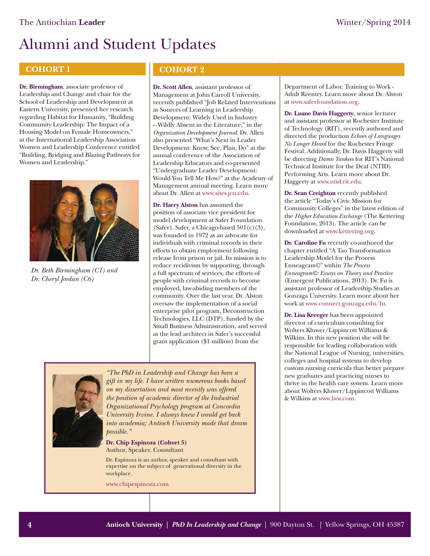#### **COHORT 1**

**Dr. Birmingham**, associate professor of Leadership and Change and chair for the School of Leadership and Development at Eastern University, presented her research regarding Habitat for Humanity, "Building Community Leadership: The Impact of a Housing Model on Female Homeowners," at the International Leadership Association Women and Leadership Conference entitled "Building, Bridging and Blazing Pathways for Women and Leadership."



*Dr. Beth Birmingham (C1) and Dr. Cheryl Jordan (C6)*

#### **COHORT 2**

**Dr. Scott Allen**, assistant professor of Management at John Carroll University, recently published "Job Related Interventions as Sources of Learning in Leadership Development: Widely Used in Industry – Wildly Absent in the Literature," in the *Organization Development Journal*. Dr. Allen also presented "What's Next in Leader Development: Know, See, Plan, Do" at the annual conference of the Association of Leadership Educators and co-presented "Undergraduate Leader Development: Would You Tell Me How?" at the Academy of Management annual meeting. Learn more about Dr. Allen [at www.sites.jcu.edu.](http://sites.jcu.edu/boler/pages/who-we-are/faculty/scott-allen-ph-d/) 

**Dr. Harry Alston** has assumed the position of associate vice president for model development at Safer Foundation (Safer). Safer, a Chicago-based 501(c)(3), was founded in 1972 as an advocate for individuals with criminal records in their efforts to obtain employment following release from prison or jail. Its mission is to reduce recidivism by supporting, through a full spectrum of services, the efforts of people with criminal records to become employed, law-abiding members of the community. Over the last year, Dr. Alston oversaw the implementation of a social enterprise pilot program, Deconstruction Technologies, LLC (DTP), funded by the Small Business Administration, and served as the lead architect in Safer's successful grant application (\$1 million) from the



*"The PhD in Leadership and Change has been a gift in my life. I have written numerous books based on my dissertation and most recently was offered the position of academic director of the Industrial Organizational Psychology program at Concordia University Irvine. I always knew I would get back into academia; Antioch University made that dream possible."*

#### **Dr. Chip Espinoza (Cohort 5)** Author, Speaker, Consultant

Dr. Espinoza is an author, speaker and consultant with expertise on the subject of generational diversity in the workplace.

www.chipespinoza.com

Department of Labor, Training to Work - Adult Reentry. Learn more about Dr. Alston [at www.saferfoundation.org.](http://www.saferfoundation.org/about/harry-alston) 

**Dr. Luane Davis Haggerty**, senior lecturer and assistant professor at Rochester Institute of Technology (RIT), recently authored and directed the production *Echoes of Languages No Longer Heard* for the Rochester Fringe Festival. Additionally, Dr. Davis Haggerty will be directing *Damn Yankees* for RIT's National Technical Institute for the Deaf (NTID) Performing Arts. Learn more about Dr. Haggerty [at www.ntid.rit.edu.](http://www.ntid.rit.edu/success/luane-davis-haggerty) 

**Dr. Sean Creighton** recently published the article "Today's Civic Mission for Community Colleges" in the latest edition of the *Higher Education Exchange* (The Kettering Foundation, 2013). The article can be downloaded [at www.kettering.org.](www.kettering.org)

**Dr. Caroline Fu** recently co-authored the chapter entitled "A Tao Transformation Leadership Model for the Process Enneagram©" within *The Process Enneagram©: Essays on Theory and Practice*  (Emergent Publications, 2013). Dr. Fu is assistant professor of Leadership Studies at Gonzaga University. Learn more about her work [at www.connect.gonzaga.edu/fu.](http://connect.gonzaga.edu/fu)

**Dr. Lisa Kreeger** has been appointed director of curriculum consulting for Wolters Kluwer/Lippincott Williams & Wilkins. In this new position she will be responsible for leading collaboration with the National League of Nursing, universities, colleges and hospital systems to develop custom nursing curricula that better prepare new graduates and practicing nurses to thrive in the health care system. Learn more about Wolters Kluwer/Lippincott Williams & Wilkin[s at www.lww.com.](http://www.lww.com/webapp/wcs/stores/servlet/content_h-t-m-l_about_11851_-1_12551)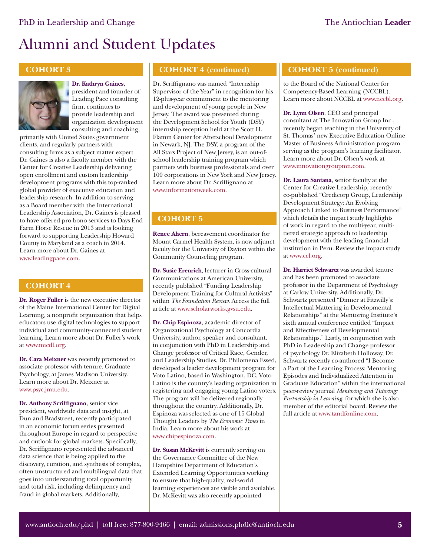#### **COHORT 3**



#### **Dr. Kathryn Gaines**, president and founder of

Leading Pace consulting firm, continues to provide leadership and organization development consulting and coaching,

primarily with United States government clients, and regularly partners with consulting firms as a subject matter expert. Dr. Gaines is also a faculty member with the Center for Creative Leadership delivering open enrollment and custom leadership development programs with this top-ranked global provider of executive education and leadership research. In addition to serving as a Board member with the International Leadership Association, Dr. Gaines is pleased to have offered pro bono services to Days End Farm Horse Rescue in 2013 and is looking forward to supporting Leadership Howard County in Maryland as a coach in 2014. Learn more about Dr. Gaines at [www.leadingpace.com.](http://leadingpace.com/about-us/senior-leadership/)

#### **COHORT 4**

**Dr. Roger Fuller** is the new executive director of the Maine International Center for Digital Learning, a nonprofit organization that helps educators use digital technologies to support individual and community-connected student learning. Learn more about Dr. Fuller's work [at www.micdl.org.](http://micdl.org/news/roger-fuller-executive-director-micdl) 

**Dr. Cara Meixner** was recently promoted to associate professor with tenure, Graduate Psychology, at James Madison University. Learn more about Dr. Meixner at [www.psyc.jmu.edu.](http://www.psyc.jmu.edu/gradpsyc/people/meixner.html)

**Dr. Anthony Scriffignano**, senior vice president, worldwide data and insight, at Dun and Bradstreet, recently participated in an economic forum series presented throughout Europe in regard to perspective and outlook for global markets. Specifically, Dr. Scriffignano represented the advanced data science that is being applied to the discovery, curation, and synthesis of complex, often unstructured and multilingual data that goes into understanding total opportunity and total risk, including delinquency and fraud in global markets. Additionally,

#### **COHORT 4 (continued)**

Dr. Scriffignano was named "Internship Supervisor of the Year" in recognition for his 12-plus-year commitment to the mentoring and development of young people in New Jersey. The award was presented during the Development School for Youth (DSY) internship reception held at the Scott H. Flamm Center for Afterschool Development in Newark, NJ. The DSY, a program of the All Stars Project of New Jersey, is an out-ofschool leadership training program which partners with business professionals and over 100 corporations in New York and New Jersey. Learn more about Dr. Scriffignano at [www.informationweek.com.](http://www.informationweek.com/big-data/big-data-analytics/big-data-profile-dandbs-anthony-scriffignano/d/d-id/1109552?)

#### **COHORT 5**

**Renee Ahern**, bereavement coordinator for Mount Carmel Health System, is now adjunct faculty for the University of Dayton within the Community Counseling program.

**Dr. Susie Erenrich**, lecturer in Cross-cultural Communications at American University, recently published "Funding Leadership Development Training for Cultural Activists" within *The Foundation Review.* Access the full article [at www.scholarworks.gvsu.edu.](http://scholarworks.gvsu.edu/tfr/vol5/iss2/8/)

**Dr. Chip Espinoza**, academic director of Organizational Psychology at Concordia University, author, speaker and consultant, in conjunction with PhD in Leadership and Change professor of Critical Race, Gender, and Leadership Studies, Dr. Philomena Essed, developed a leader development program for Voto Latino, based in Washington, DC. Voto Latino is the country's leading organization in registering and engaging young Latino voters. The program will be delivered regionally throughout the country. Additionally, Dr. Espinoza was selected as one of 15 Global Thought Leaders by *The Economic Times* in India. Learn more about his work at [www.chipespinoza.com.](http://www.chipespinoza.com/) 

**Dr. Susan McKevitt** is currently serving on the Governance Committee of the New Hampshire Department of Education's Extended Learning Opportunities working to ensure that high-quality, real-world learning experiences are visible and available. Dr. McKevitt was also recently appointed

#### **COHORT 5 (continued)**

to the Board of the National Center for Competency-Based Learning (NCCBL). Learn more about NCCB[L at www.nccbl.org.](www.nccbl.org) 

**Dr. Lynn Olsen**, CEO and principal consultant at The Innovation Group Inc., recently began teaching in the University of St. Thomas' new Executive Education Online Master of Business Administration program serving as the program's learning facilitator. Learn more about Dr. Olsen's work at [www.innovationgroupmn.com.](http://www.innovationgroupmn.com/) 

**Dr. Laura Santana**, senior faculty at the Center for Creative Leadership, recently co-published "Credicorp Group, Leadership Development Strategy: An Evolving Approach Linked to Business Performance" which details the impact study highlights of work in regard to the multi-year, multitiered strategic approach to leadership development with the leading financial [institution in Peru](http://www.ccl.org/leadership/pdf/aboutCCL/Credicorp.pdf?campaign=HP0813). Review the impact study at www.ccl.org.

**Dr. Harriet Schwartz** was awarded tenure and has been promoted to associate professor in the Department of Psychology at Carlow University. Additionally, Dr. Schwartz presented "Dinner at Fitzwilly's: Intellectual Mattering in Developmental Relationships" at the Mentoring Institute's sixth annual conference entitled "Impact and Effectiveness of Developmental Relationships." Lastly, in conjunction with PhD in Leadership and Change professor of psychology Dr. Elizabeth Holloway, Dr. Schwartz recently co-authored "I Become a Part of the Learning Process: Mentoring Episodes and Individualized Attention in Graduate Education" within the international peer-review journal *Mentoring and Tutoring: Partnership in Learning*, for which she is also member of the editorial board. Review the full article [at www.tandfonline.com.](http://www.tandfonline.com/)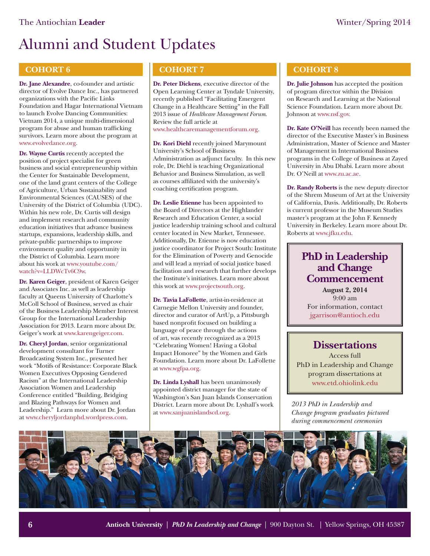#### **COHORT 6**

**Dr. Jane Alexandre**, co-founder and artistic director of Evolve Dance Inc., has partnered organizations with the Pacific Links Foundation and Hagar International Vietnam to launch Evolve Dancing Communities: Vietnam 2014, a unique multi-dimensional program for abuse and human trafficking survivors. Learn more about the program at [www.evolvedance.org.](http://www.evolvedance.org/vietnam-2014.html) 

**Dr. Wayne Curtis** recently accepted the position of project specialist for green business and social entrepreneurship within the Center for Sustainable Development, one of the land grant centers of the College of Agriculture, Urban Sustainability and Environmental Sciences (CAUSES) of the University of the District of Columbia (UDC). Within his new role, Dr. Curtis will design and implement research and community education initiatives that advance business startups, expansions, leadership skills, and private-public partnerships to improve environment quality and opportunity in the District of Columbia. Learn more [about his work at www.youtube.com/](http://www.youtube.com/watch?v=LLDWcTv6C9w) watch?v=LLDWcTv6C9w.

**Dr. Karen Geiger**, president of Karen Geiger and Associates Inc. as well as leadership faculty at Queens University of Charlotte's McColl School of Business, served as chair of the Business Leadership Member Interest Group for the International Leadership Association for 2013. Learn more about Dr. Geiger's work [at www.karengeiger.com.](http://www.karengeiger.com/) 

**Dr. Cheryl Jordan**, senior organizational development consultant for Turner Broadcasting System Inc., presented her work "Motifs of Resistance: Corporate Black Women Executives Opposing Gendered Racism" at the International Leadership Association Women and Leadership Conference entitled "Building, Bridging and Blazing Pathways for Women and Leadership." Learn more about Dr. Jordan [at www.cheryljordanphd.wordpress.com.](http://cheryljordanphd.wordpress.com/bio/) 

#### **COHORT 7**

**Dr. Peter Dickens**, executive director of the Open Learning Center at Tyndale University, recently published "Facilitating Emergent Change in a Healthcare Setting" in the Fall 2013 issue of *Healthcare Management Forum*. Review the full article at [www.healthcaremanagementforum.org.](http://www.healthcaremanagementforum.org/article/S0840-4704(13)00061-6/abstract)

**Dr. Kori Diehl** recently joined Marymount University's School of Business Administration as adjunct faculty. In this new role, Dr. Diehl is teaching Organizational Behavior and Business Simulation, as well as courses affiliated with the university's coaching certification program.

**Dr. Leslie Etienne** has been appointed to the Board of Directors at the Highlander Research and Education Center, a social justice leadership training school and cultural center located in New Market, Tennessee. Additionally, Dr. Etienne is now education justice coordinator for Project South: Institute for the Elimination of Poverty and Genocide and will lead a myriad of social justice based facilitation and research that further develops the Institute's initiatives. Learn more about this work [at www.projectsouth.org.](www.projectsouth.org)

**Dr. Tavia LaFollette**, artist-in-residence at Carnegie Mellon University and founder, director and curator of ArtUp, a Pittsburgh based nonprofit focused on building a language of peace through the actions of art, was recently recognized as a 2013 "Celebrating Women! Having a Global Impact Honoree" by the Women and Girls Foundation. Learn more about Dr. LaFollette [at www.wgfpa.org.](http://wgfpa.org/celebrating-women-having-a-global-impact/2013-celebrating-women-having-a-global-impact-nominees/tavia-la-follette/) 

**Dr. Linda Lyshall** has been unanimously appointed district manager for the state of Washington's San Juan Islands Conservation District. Learn more about Dr. Lyshall's work [at www.sanjuanislandscd.org.](http://sanjuanislandscd.org/about-us/our-staff/) 

#### **COHORT 8**

**Dr. Julie Johnson** has accepted the position of program director within the Division on Research and Learning at the National Science Foundation. Learn more about Dr. Johnson [at www.nsf.gov.](http://www.nsf.gov/mobile/staff/staff_bio.jsp?lan=jjohnson&org=EHR&from_org=EHR) 

**Dr. Kate O'Neill** has recently been named the director of the Executive Master's in Business Administration, Master of Science and Master of Management in International Business programs in the College of Business at Zayed University in Abu Dhabi. Learn more about Dr. O'Neill [at www.zu.ac.ae.](http://www.zu.ac.ae/main/en/colleges/colleges/college_business/research_newsroom/2013/May/katie.aspx) 

**Dr. Randy Roberts** is the new deputy director of the Shrem Museum of Art at the University of California, Davis. Additionally, Dr. Roberts is current professor in the Museum Studies master's program at the John F. Kennedy University in Berkeley. Learn more about Dr. Roberts at [www.jfku.edu.](http://www.jfku.edu/Programs-and-Courses/College-of-Graduate-Professional-Studies/Museum-Studies/Faculty/Dr-Randy-Roberts.html) 

### **PhD in Leadership and Change Commencement**

**August 2, 2014** 9:00 am For information, contact jgarrison@antioch.edu

### **Dissertations**

Access full PhD in Leadership and Change program dissertations at [www.etd.ohiolink.edu](https://etd.ohiolink.edu/ap/6?0::NO:6:P6_INSTID,P6_ETD_INST_DEPTID:2,1137)

*2013 PhD in Leadership and Change program graduates pictured during commencement ceremonies*

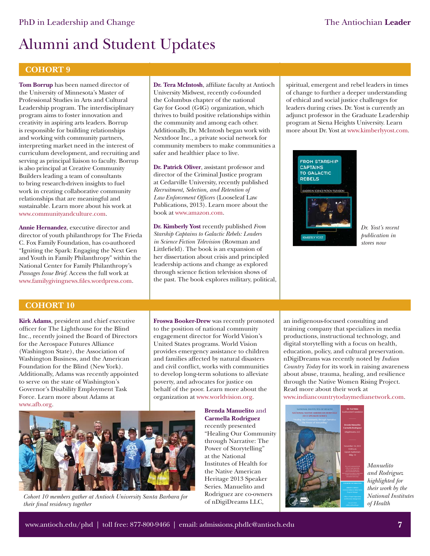#### **COHORT 9**

**Tom Borrup** has been named director of the University of Minnesota's Master of Professional Studies in Arts and Cultural Leadership program. The interdisciplinary program aims to foster innovation and creativity in aspiring arts leaders. Borrup is responsible for building relationships and working with community partners, interpreting market need in the interest of curriculum development, and recruiting and serving as principal liaison to faculty. Borrup is also principal at Creative Community Builders leading a team of consultants to bring research-driven insights to fuel work in creating collaborative community relationships that are meaningful and sustainable. Learn more about his work at [www.communityandculture.com.](http://www.communityandculture.com/team.php) 

**Annie Hernandez**, executive director and director of youth philanthropy for The Frieda C. Fox Family Foundation, has co-authored "Igniting the Spark: Engaging the Next Gen and Youth in Family Philanthropy" within the National Center for Family Philanthropy's *Passages Issue Brief*. Access the full work at www.familygivingnews.files.wordpress.com.

#### **COHORT 10**

**Kirk Adams**, president and chief executive officer for The Lighthouse for the Blind Inc., recently joined the Board of Directors for the Aerospace Futures Alliance (Washington State), the Association of Washington Business, and the American Foundation for the Blind (New York). Additionally, Adams was recently appointed to serve on the state of Washington's Governor's Disability Employment Task Force. Learn more about Adams at [www.afb.org.](http://www.afb.org/info/living-with-vision-loss/for-job-seekers/our-stories/rehabilitation/president-seattle-lighthouse-for-the-blind-profile/12345) 

**Dr. Tera McIntosh**, affiliate faculty at Antioch University Midwest, recently co-founded the Columbus chapter of the national Gay for Good (G4G) organization, which thrives to build positive relationships within the community and among each other. Additionally, Dr. McIntosh began work with Nextdoor Inc., a private social network for community members to make communities a safer and healthier place to live.

**Dr. Patrick Oliver**, assistant professor and director of the Criminal Justice program at Cedarville University, recently published *Recruitment, Selection, and Retention of*  Law Enforcement Officers (Looseleaf Law Publications, 2013). Learn more about the book [at www.amazon.com.](http://www.amazon.com/Recruitment-Selection-Retention-Enforcement-Officers/dp/1932777962)

**Dr. Kimberly Yost** recently published *From Starship Captains to Galactic Rebels: Leaders in Science Fiction Television* (Rowman and Littlefield). The book is an expansion of her dissertation about crisis and principled leadership actions and change as explored through science fiction television shows of the past. The book explores military, political,

spiritual, emergent and rebel leaders in times of change to further a deeper understanding of ethical and social justice challenges for leaders during crises. Dr. Yost is currently an adjunct professor in the Graduate Leadership program at Siena Heights University. Learn more about Dr. Yost [at www.kimberlyyost.com.](http://www.kimberlyyost.com/) 



*Dr. Yost's recent publication in stores now*

**Froswa Booker-Drew** was recently promoted to the position of national community engagement director for World Vision's United States programs. World Vision provides emergency assistance to children and families affected by natural disasters and civil conflict, works with communities to develop long-term solutions to alleviate poverty, and advocates for justice on behalf of the poor. Learn more about the organization [at www.worldvision.org.](http://www.worldvision.org/about-us/who-we-are) 



Cohort 10 members gather at Antioch University Santa Barbara for **Example 2** are co-own<br>their final residency together **contained** of nDigiDreams LLC, *their final residency together* 

**Brenda Manuelito** and **Carmella Rodriguez** recently presented "Healing Our Community through Narrative: The Power of Storytelling" at the National Institutes of Health for the Native American Heritage 2013 Speaker Series. Manuelito and Rodriguez are co-owners

an indigenous-focused consulting and training company that specializes in media productions, instructional technology, and digital storytelling with a focus on health, education, policy, and cultural preservation. nDigiDreams was recently noted by *Indian Country Today* for its work in raising awareness about abuse, trauma, healing, and resilience through the Native Women Rising Project. Read more about their work at [www.indiancountrytodaymedianetwork.com.](http://indiancountrytodaymedianetwork.com/2013/09/30/native-women-rising-ending-violence-and-healing-through-digital-storytelling-151494) 



*Manuelito and Rodriguez highlighted for their work by the National Institutes of Health*